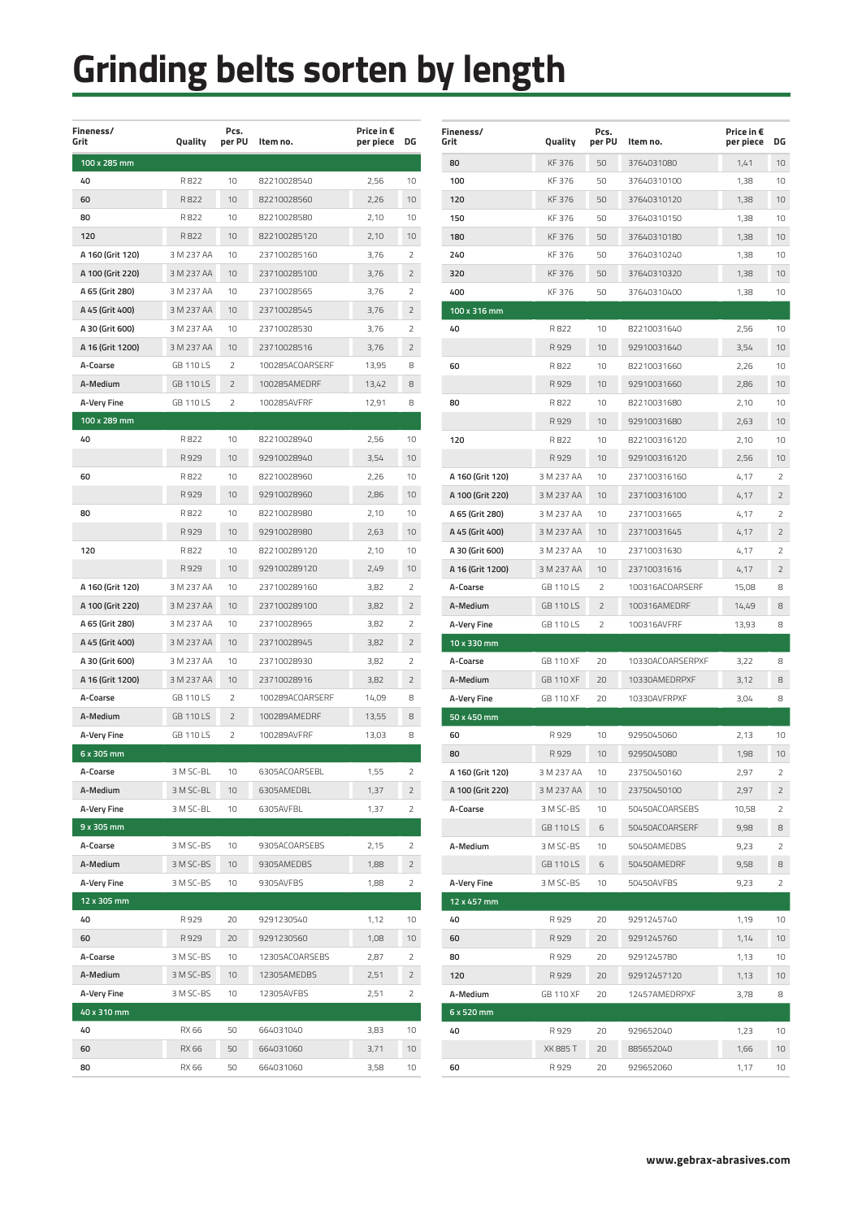| Fineness/<br>Grit | Quality          | Pcs.<br>per PU | Item no.        | Price in €<br>per piece | DG              |
|-------------------|------------------|----------------|-----------------|-------------------------|-----------------|
| 100 x 285 mm      |                  |                |                 |                         |                 |
| 40                | R822             | 10             | 82210028540     | 2,56                    | 10              |
| 60                | R822             | 10             | 82210028560     | 2,26                    | 10              |
| 80                | R822             | 10             | 82210028580     | 2,10                    | 10              |
| 120               | R822             | 10             | 822100285120    | 2,10                    | 10              |
| A 160 (Grit 120)  | 3 M 237 AA       | 10             | 237100285160    | 3,76                    | 2               |
| A 100 (Grit 220)  | 3 M 237 AA       | 10             | 237100285100    | 3,76                    | $\overline{2}$  |
| A 65 (Grit 280)   | 3 M 237 AA       | 10             | 23710028565     | 3,76                    | 2               |
| A 45 (Grit 400)   | 3 M 237 AA       | 10             | 23710028545     | 3,76                    | 2               |
| A 30 (Grit 600)   | 3 M 237 AA       | 10             | 23710028530     | 3,76                    | 2               |
| A 16 (Grit 1200)  | 3 M 237 AA       | 10             | 23710028516     | 3,76                    | 2               |
| A-Coarse          | <b>GB 110LS</b>  | 2              | 100285ACOARSERF | 13,95                   | 8               |
| A-Medium          | GB 110 LS        | $\overline{2}$ | 100285AMEDRF    | 13,42                   | 8               |
| A-Very Fine       | <b>GB 110LS</b>  | 2              | 100285AVFRF     | 12,91                   | 8               |
| 100 x 289 mm      |                  |                |                 |                         |                 |
| 40                | R822             | 10             | 82210028940     | 2,56                    | 10              |
|                   | R929             | 10             | 92910028940     | 3,54                    | 10              |
| 60                | R822             | 10             | 82210028960     | 2,26                    | 10              |
|                   | R929             | 10             | 92910028960     | 2,86                    | 10              |
| 80                | R822             | 10             | 82210028980     | 2,10                    | 10              |
|                   | R929             | 10             | 92910028980     | 2,63                    | 10              |
| 120               | R822             | 10             | 822100289120    | 2,10                    | 10              |
|                   | R929             | 10             | 929100289120    | 2,49                    | 10              |
| A 160 (Grit 120)  | 3 M 237 AA       | 10             | 237100289160    | 3,82                    | 2               |
| A 100 (Grit 220)  | 3 M 237 AA       | 10             | 237100289100    | 3,82                    | 2               |
| A 65 (Grit 280)   | 3 M 237 AA       | 10             | 23710028965     | 3,82                    | $\overline{2}$  |
| A 45 (Grit 400)   | 3 M 237 AA       | 10             | 23710028945     | 3,82                    | 2               |
| A 30 (Grit 600)   | 3 M 237 AA       | 10             | 23710028930     | 3,82                    | 2               |
| A 16 (Grit 1200)  | 3 M 237 AA       | 10             | 23710028916     | 3,82                    | 2               |
| A-Coarse          | <b>GB 110LS</b>  | 2              | 100289ACOARSERF | 14,09                   | 8               |
| A-Medium          | <b>GB 110 LS</b> | $\overline{2}$ | 100289AMEDRF    | 13,55                   | 8               |
| A-Very Fine       | GB 110 LS        | 2              | 100289AVFRF     | 13,03                   | 8               |
| 6 x 305 mm        |                  |                |                 |                         |                 |
| A-Coarse          | 3 M SC-BL        | 10             | 6305ACOARSEBL   | 1,55                    | 2               |
| A-Medium          | 3 M SC-BL        | 10             | 6305AMEDBL      | 1,37                    | 2               |
| A-Very Fine       | 3 M SC-BL        | 10             | 6305AVFBL       | 1,37                    | 2               |
| 9 x 305 mm        |                  |                |                 |                         |                 |
| A-Coarse          | 3 M SC-BS        | 10             | 9305ACOARSEBS   | 2,15                    | 2               |
| A-Medium          | 3 M SC-BS        | 10             | 9305AMEDBS      | 1,88                    | $\overline{2}$  |
| A-Very Fine       | 3 M SC-BS        | 10             | 9305AVFBS       | 1,88                    | 2               |
| 12 x 305 mm       |                  |                |                 |                         |                 |
| 40                | R 929            | 20             | 9291230540      | 1,12                    | 10              |
| 60                | R 929            | 20             | 9291230560      | 1,08                    | 10 <sup>1</sup> |
| A-Coarse          | 3 M SC-BS        | 10             | 12305ACOARSEBS  | 2,87                    | 2               |
| A-Medium          | 3 M SC-BS        | 10             | 12305AMEDBS     | 2,51                    | 2               |
| A-Very Fine       | 3 M SC-BS        | 10             | 12305AVFBS      | 2,51                    | 2               |
| 40 x 310 mm       |                  |                |                 |                         |                 |
| 40                | RX 66            | 50             | 664031040       | 3,83                    | 10              |
| 60                | RX 66            | 50             | 664031060       | 3,71                    | 10              |
| 80                | RX 66            | 50             | 664031060       | 3,58                    | 10              |
|                   |                  |                |                 |                         |                 |

| <b>Fineness/</b><br>Grit | Quality          | Pcs.<br>per PU | Item no.         | Price in €<br>per piece | DG             |
|--------------------------|------------------|----------------|------------------|-------------------------|----------------|
| 80                       | KF 376           | 50             | 3764031080       | 1,41                    | 10             |
| 100                      | KF 376           | 50             | 37640310100      | 1,38                    | 10             |
| 120                      | KF 376           | 50             | 37640310120      | 1,38                    | 10             |
| 150                      | KF 376           | 50             | 37640310150      | 1,38                    | 10             |
| 180                      | KF 376           | 50             | 37640310180      | 1,38                    | 10             |
| 240                      | KF 376           | 50             | 37640310240      | 1,38                    | 10             |
| 320                      | KF 376           | 50             | 37640310320      | 1,38                    | 10             |
| 400                      | KF 376           | 50             | 37640310400      | 1,38                    | 10             |
| 100 x 316 mm             |                  |                |                  |                         |                |
| 40                       | R822             | 10             | 82210031640      | 2,56                    | 10             |
|                          | R 929            | 10             | 92910031640      | 3,54                    | 10             |
| 60                       | R822             | 10             | 82210031660      | 2,26                    | 10             |
|                          | R929             | 10             | 92910031660      | 2,86                    | 10             |
| 80                       | R822             | 10             | 82210031680      | 2,10                    | 10             |
|                          | R 929            | 10             | 92910031680      | 2,63                    | 10             |
| 120                      | R822             | 10             | 822100316120     | 2,10                    | 10             |
|                          | R 929            | 10             | 929100316120     | 2,56                    | 10             |
| A 160 (Grit 120)         | 3 M 237 AA       | 10             | 237100316160     | 4,17                    | 2              |
| A 100 (Grit 220)         | 3 M 237 AA       | 10             | 237100316100     | 4,17                    | 2              |
| A 65 (Grit 280)          | 3 M 237 AA       | 10             | 23710031665      | 4,17                    | 2              |
| A 45 (Grit 400)          | 3 M 237 AA       | 10             | 23710031645      | 4,17                    | 2              |
| A 30 (Grit 600)          | 3 M 237 AA       | 10             | 23710031630      |                         | 2              |
|                          |                  |                |                  | 4,17                    |                |
| A 16 (Grit 1200)         | 3 M 237 AA       | 10             | 23710031616      | 4,17                    | 2<br>8         |
| A-Coarse                 | <b>GB 110LS</b>  | $\overline{2}$ | 100316ACOARSERF  | 15,08                   |                |
| A-Medium                 | <b>GB 110LS</b>  | 2              | 100316AMEDRF     | 14,49                   | 8              |
| A-Very Fine              | GB 110 LS        | 2              | 100316AVFRF      | 13,93                   | 8              |
| 10 x 330 mm              |                  |                |                  |                         |                |
| A-Coarse                 | <b>GB 110 XF</b> | 20             | 10330ACOARSERPXF | 3,22                    | 8              |
| A-Medium                 | <b>GB 110 XF</b> | 20             | 10330AMEDRPXF    | 3,12                    | 8              |
| A-Very Fine              | GB 110 XF        | 20             | 10330AVFRPXF     | 3,04                    | 8              |
| 50 x 450 mm<br>60        | R 929            | 10             |                  |                         | 10             |
|                          |                  |                | 9295045060       | 2,13                    |                |
| 80                       | R929             | 10             | 9295045080       | 1,98                    | 10             |
| A 160 (Grit 120)         | 3 M 237 AA       | 10             | 23750450160      | 2,97                    | 2              |
| A 100 (Grit 220)         | 3 M 237 AA       | 10             | 23750450100      | 2,97                    | $\overline{2}$ |
| A-Coarse                 | 3 M SC-BS        | 10             | 50450ACOARSEBS   | 10,58                   | $\overline{2}$ |
|                          | <b>GB 110LS</b>  | 6              | 50450ACOARSERF   | 9,98                    | 8              |
| A-Medium                 | 3 M SC-BS        | 10             | 50450AMEDBS      | 9,23                    | 2              |
|                          | <b>GB 110LS</b>  | 6              | 50450AMEDRF      | 9,58                    | 8              |
| A-Very Fine              | 3 M SC-BS        | 10             | 50450AVFBS       | 9,23                    | 2              |
| 12 x 457 mm              |                  |                |                  |                         |                |
| 40                       | R 929            | 20             | 9291245740       | 1,19                    | 10             |
| 60                       | R 929            | 20             | 9291245760       | 1,14                    | 10             |
| 80                       | R 929            | 20             | 9291245780       | 1,13                    | 10             |
| 120                      | R 929            | 20             | 92912457120      | 1,13                    | 10             |
| A-Medium                 | GB 110 XF        | 20             | 12457AMEDRPXF    | 3,78                    | 8              |
| 6 x 520 mm               |                  |                |                  |                         |                |
| 40                       | R 929            | 20             | 929652040        | 1,23                    | 10             |
|                          | <b>XK 885 T</b>  | 20             | 885652040        | 1,66                    | 10             |
| 60                       | R 929            | 20             | 929652060        | 1,17                    | 10             |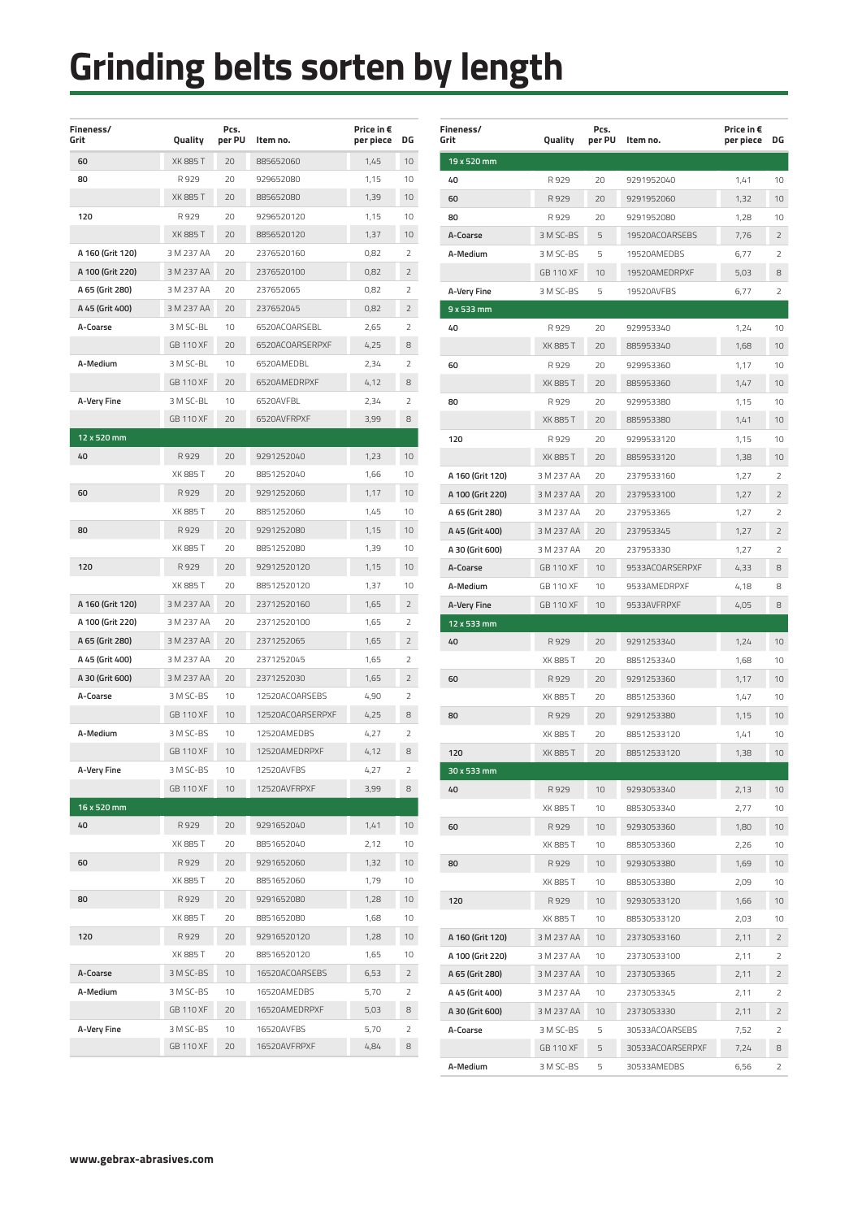| Fineness/<br>Grit | Quality          | Pcs.<br>per PU | Item no.         | Price in €<br>per piece | DG              |
|-------------------|------------------|----------------|------------------|-------------------------|-----------------|
| 60                | <b>XK 885 T</b>  | 20             | 885652060        | 1,45                    | 10              |
| 80                | R 929            | 20             | 929652080        | 1,15                    | 10              |
|                   | XK 885 T         | 20             | 885652080        | 1,39                    | 10              |
| 120               | R 929            | 20             | 9296520120       | 1,15                    | 10              |
|                   | <b>XK 885 T</b>  | 20             | 8856520120       | 1,37                    | 10              |
| A 160 (Grit 120)  | 3 M 237 AA       | 20             | 2376520160       | 0,82                    | 2               |
| A 100 (Grit 220)  | 3 M 237 AA       | 20             | 2376520100       | 0,82                    | 2               |
| A 65 (Grit 280)   | 3 M 237 AA       | 20             | 237652065        | 0,82                    | 2               |
| A 45 (Grit 400)   | 3 M 237 AA       | 20             | 237652045        | 0,82                    | 2               |
| A-Coarse          | 3 M SC-BL        | 10             | 6520ACOARSEBL    | 2,65                    | 2               |
|                   | <b>GB 110 XF</b> | 20             | 6520ACOARSERPXF  | 4,25                    | 8               |
| A-Medium          | 3 M SC-BL        | 10             | 6520AMEDBL       | 2,34                    | $\overline{2}$  |
|                   | <b>GB 110 XF</b> | 20             | 6520AMEDRPXF     | 4,12                    | 8               |
| A-Very Fine       | 3 M SC-BL        | 10             | 6520AVFBL        | 2,34                    | 2               |
|                   | <b>GB 110 XF</b> | 20             | 6520AVFRPXF      | 3.99                    | 8               |
| 12 x 520 mm       |                  |                |                  |                         |                 |
| 40                | R929             | 20             | 9291252040       | 1,23                    | 10              |
|                   | XK 885 T         | 20             | 8851252040       | 1,66                    | 10              |
| 60                | R929             | 20             | 9291252060       | 1,17                    | 10              |
|                   | XK 885 T         | 20             | 8851252060       | 1,45                    | 10              |
| 80                | R929             | 20             | 9291252080       | 1,15                    | 10              |
|                   | XK 885 T         | 20             | 8851252080       | 1,39                    | 10              |
| 120               | R 929            | 20             | 92912520120      | 1,15                    | 10              |
|                   | XK 885 T         | 20             | 88512520120      | 1,37                    | 10              |
| A 160 (Grit 120)  | 3 M 237 AA       | 20             | 23712520160      | 1,65                    | 2               |
| A 100 (Grit 220)  | 3 M 237 AA       | 20             | 23712520100      | 1,65                    | 2               |
| A 65 (Grit 280)   | 3 M 237 AA       | 20             | 2371252065       | 1,65                    | 2               |
| A 45 (Grit 400)   | 3 M 237 AA       | 20             | 2371252045       | 1,65                    | $\overline{2}$  |
| A 30 (Grit 600)   | 3 M 237 AA       | 20             | 2371252030       | 1,65                    | 2               |
| A-Coarse          | 3 M SC-BS        | 10             | 12520ACOARSEBS   | 4.90                    | 2               |
|                   | <b>GB 110 XF</b> | 10             | 12520ACOARSERPXF | 4,25                    | 8               |
| A-Medium          | 3 M SC-BS        | 10             | 12520AMEDBS      | 4,27                    | $\overline{2}$  |
|                   | <b>GB 110 XF</b> | 10             | 12520AMEDRPXF    | 4,12                    | 8               |
| A-Very Fine       | 3 M SC-BS        | 10             | 12520AVFBS       | 4,27                    | 2               |
|                   | <b>GB 110 XF</b> | 10             | 12520AVFRPXF     | 3,99                    | 8               |
| 16 x 520 mm       |                  |                |                  |                         |                 |
| 40                | R929             | 20             | 9291652040       | 1,41                    | 10              |
|                   | XK 885 T         | 20             | 8851652040       | 2,12                    | 10              |
| 60                | R 929            | 20             | 9291652060       | 1,32                    | 10              |
|                   | XK 885 T         | 20             | 8851652060       | 1,79                    | 10              |
| 80                | R 929            | 20             | 9291652080       | 1,28                    | 10 <sup>1</sup> |
|                   | XK 885 T         | 20             | 8851652080       | 1,68                    | 10              |
| 120               | R 929            | 20             | 92916520120      | 1,28                    | 10 <sup>1</sup> |
|                   | XK 885 T         | 20             | 88516520120      | 1,65                    | 10              |
| A-Coarse          | 3 M SC-BS        | 10             | 16520ACOARSEBS   | 6,53                    | 2               |
| A-Medium          | 3 M SC-BS        | 10             | 16520AMEDBS      | 5,70                    | 2               |
|                   | <b>GB 110 XF</b> | 20             | 16520AMEDRPXF    | 5,03                    | 8               |
| A-Very Fine       | 3 M SC-BS        | 10             | 16520AVFBS       | 5,70                    | 2               |
|                   | GB 110 XF        | 20             | 16520AVFRPXF     | 4,84                    | 8               |
|                   |                  |                |                  |                         |                 |

| <b>Fineness/</b><br>Grit | Quality          | Pcs.<br>per PU | Item no.         | Price in €<br>per piece | DG             |
|--------------------------|------------------|----------------|------------------|-------------------------|----------------|
| $19x$ 520 mm             |                  |                |                  |                         |                |
| 40                       | R 929            | 20             | 9291952040       | 1,41                    | 10             |
| 60                       | R929             | 20             | 9291952060       | 1,32                    | 10             |
| 80                       | R 929            | 20             | 9291952080       | 1,28                    | 10             |
| A-Coarse                 | 3 M SC-BS        | 5              | 19520ACOARSEBS   | 7,76                    | 2              |
| A-Medium                 | 3 M SC-BS        | 5              | 19520AMEDBS      | 6,77                    | 2              |
|                          | <b>GB 110 XF</b> | 10             | 19520AMEDRPXF    | 5,03                    | 8              |
| A-Very Fine              | 3 M SC-BS        | 5              | 19520AVFBS       | 6,77                    | 2              |
| 9 x 533 mm               |                  |                |                  |                         |                |
| 40                       | R 929            | 20             | 929953340        | 1,24                    | 10             |
|                          | <b>XK 885 T</b>  | 20             | 885953340        | 1,68                    | 10             |
| 60                       | R929             | 20             | 929953360        | 1,17                    | 10             |
|                          | <b>XK 885 T</b>  | 20             | 885953360        | 1,47                    | 10             |
| 80                       | R929             | 20             | 929953380        | 1,15                    | 10             |
|                          | <b>XK 885 T</b>  | 20             | 885953380        | 1,41                    | 10             |
| 120                      | R929             | 20             | 9299533120       | 1,15                    | 10             |
|                          | <b>XK 885 T</b>  | 20             | 8859533120       | 1,38                    | 10             |
| A 160 (Grit 120)         | 3 M 237 AA       | 20             | 2379533160       | 1,27                    | 2              |
| A 100 (Grit 220)         | 3 M 237 AA       | 20             | 2379533100       | 1,27                    | $\overline{2}$ |
| A 65 (Grit 280)          | 3 M 237 AA       | 20             | 237953365        | 1,27                    | 2              |
| A 45 (Grit 400)          | 3 M 237 AA       | 20             | 237953345        | 1,27                    | 2              |
| A 30 (Grit 600)          | 3 M 237 AA       | 20             | 237953330        | 1,27                    | 2              |
| A-Coarse                 | GB 110 XF        | 10             | 9533ACOARSERPXF  | 4,33                    | 8              |
| A-Medium                 | <b>GB 110 XF</b> | 10             | 9533AMEDRPXF     | 4,18                    | 8              |
| A-Very Fine              | <b>GB 110 XF</b> | 10             | 9533AVFRPXF      | 4,05                    | 8              |
| 12 x 533 mm              |                  |                |                  |                         |                |
| 40                       | R929             | 20             | 9291253340       | 1,24                    | 10             |
|                          | <b>XK 885 T</b>  | 20             | 8851253340       | 1,68                    | 10             |
| 60                       | R929             | 20             | 9291253360       | 1,17                    | 10             |
|                          | XK 885 T         | 20             | 8851253360       | 1,47                    | 10             |
| 80                       | R 929            | 20             | 9291253380       | 1,15                    | 10             |
|                          | <b>XK 885 T</b>  | 20             | 88512533120      | 1,41                    | 10             |
| 120                      | XK 885 T         | 20             | 88512533120      | 1,38                    | 10             |
| 30 x 533 mm              |                  |                |                  |                         |                |
| 40                       | R 929            | 10             | 9293053340       | 2,13                    | 10             |
|                          | XK 885 T         | 10             | 8853053340       | 2,77                    | 10             |
| 60                       | R 929            | 10             | 9293053360       | 1,80                    | 10             |
|                          | XK 885 T         | 10             | 8853053360       | 2,26                    | 10             |
| 80                       | R 929            | 10             | 9293053380       | 1,69                    | 10             |
|                          | XK 885 T         | 10             | 8853053380       | 2,09                    | 10             |
| 120                      | R929             | 10             | 92930533120      | 1,66                    | 10             |
|                          | XK 885 T         | 10             | 88530533120      | 2,03                    | 10             |
| A 160 (Grit 120)         | 3 M 237 AA       | 10             | 23730533160      | 2,11                    | 2              |
| A 100 (Grit 220)         | 3 M 237 AA       | 10             | 23730533100      | 2,11                    | 2              |
| A 65 (Grit 280)          | 3 M 237 AA       | 10             | 2373053365       | 2,11                    | 2              |
| A 45 (Grit 400)          | 3 M 237 AA       | 10             | 2373053345       | 2,11                    | 2              |
| A 30 (Grit 600)          | 3 M 237 AA       | 10             | 2373053330       | 2,11                    | 2              |
| A-Coarse                 | 3 M SC-BS        | 5              | 30533ACOARSEBS   | 7,52                    | 2              |
|                          | GB 110 XF        | 5              | 30533ACOARSERPXF | 7,24                    | 8              |
| A-Medium                 | 3 M SC-BS        | 5              | 30533AMEDBS      | 6,56                    | 2              |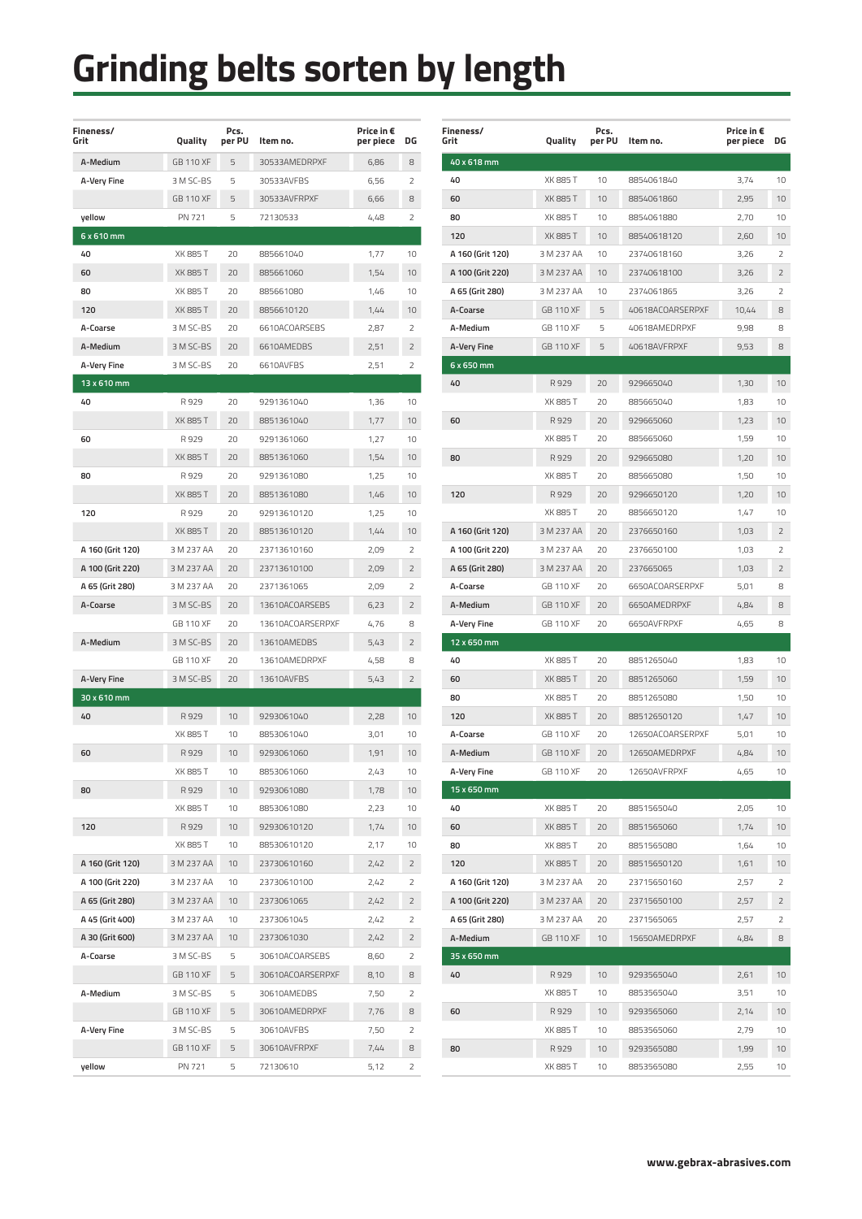| Fineness/<br>Grit  | Quality          | Pcs.<br>per PU | Item no.         | Price in €<br>per piece | DG             |
|--------------------|------------------|----------------|------------------|-------------------------|----------------|
| A-Medium           | <b>GB 110 XF</b> | 5              | 30533AMEDRPXF    | 6,86                    | 8              |
| A-Very Fine        | 3 M SC-BS        | 5              | 30533AVFBS       | 6,56                    | 2              |
|                    | <b>GB 110 XF</b> | 5              | 30533AVFRPXF     | 6,66                    | 8              |
| yellow             | PN 721           | 5              | 72130533         | 4.48                    | $\overline{2}$ |
| 6 x 610 mm         |                  |                |                  |                         |                |
| 40                 | XK 885 T         | 20             | 885661040        | 1,77                    | 10             |
| 60                 | <b>XK 885 T</b>  | 20             | 885661060        | 1,54                    | 10             |
| 80                 | XK 885 T         | 20             | 885661080        | 1.46                    | 10             |
| 120                | <b>XK 885 T</b>  | 20             | 8856610120       | 1,44                    | 10             |
| A-Coarse           | 3 M SC-BS        | 20             | 6610ACOARSEBS    | 2,87                    | 2              |
| A-Medium           | 3 M SC-BS        | 20             | 6610AMEDBS       | 2,51                    | 2              |
| A-Very Fine        | 3 M SC-BS        | 20             | 6610AVFBS        | 2,51                    | $\overline{2}$ |
| 13 x 610 mm        |                  |                |                  |                         |                |
| 40                 | R929             | 20             | 9291361040       | 1,36                    | 10             |
|                    | <b>XK 885 T</b>  | 20             | 8851361040       | 1,77                    | 10             |
| 60                 | R929             | 20             | 9291361060       | 1,27                    | 10             |
|                    | <b>XK 885 T</b>  | 20             | 8851361060       | 1,54                    | 10             |
| 80                 | R929             | 20             | 9291361080       | 1,25                    | 10             |
|                    | <b>XK 885 T</b>  | 20             | 8851361080       | 1,46                    | 10             |
| 120                | R929             | 20             | 92913610120      | 1,25                    | 10             |
|                    | <b>XK 885 T</b>  | 20             | 88513610120      | 1,44                    | 10             |
| A 160 (Grit 120)   | 3 M 237 AA       | 20             | 23713610160      | 2,09                    | 2              |
| A 100 (Grit 220)   | 3 M 237 AA       | 20             | 23713610100      | 2,09                    | 2              |
| A 65 (Grit 280)    | 3 M 237 AA       | 20             | 2371361065       | 2,09                    | 2              |
| A-Coarse           | 3 M SC-BS        | 20             | 13610ACOARSEBS   | 6,23                    | 2              |
|                    | <b>GB 110 XF</b> | 20             | 13610ACOARSERPXF | 4,76                    | 8              |
| A-Medium           | 3 M SC-BS        | 20             | 13610AMEDBS      | 5,43                    | $\overline{2}$ |
|                    | <b>GB 110 XF</b> | 20             | 13610AMEDRPXF    | 4,58                    | 8              |
| <b>A-Very Fine</b> | 3 M SC-BS        | 20             | 13610AVFBS       | 5,43                    | $\overline{2}$ |
| 30 x 610 mm        |                  |                |                  |                         |                |
| 40                 | R929             | 10             | 9293061040       | 2,28                    | 10             |
|                    | XK 885 T         | 10             | 8853061040       | 3,01                    | 10             |
| 60                 | R929             | 10             | 9293061060       | 1,91                    | 10             |
|                    | XK 885 T         | 10             | 8853061060       | 2,43                    | 10             |
| 80                 | R929             | 10             | 9293061080       | 1,78                    | 10             |
|                    | XK 885 T         | 10             | 8853061080       | 2,23                    | 10             |
| 120                | R929             | 10             | 92930610120      | 1,74                    | 10             |
|                    | XK 885 T         | 10             | 88530610120      | 2,17                    | 10             |
| A 160 (Grit 120)   | 3 M 237 AA       | 10             | 23730610160      | 2,42                    | 2              |
| A 100 (Grit 220)   | 3 M 237 AA       | 10             | 23730610100      | 2,42                    | 2              |
| A 65 (Grit 280)    | 3 M 237 AA       | 10             | 2373061065       | 2,42                    | 2              |
| A 45 (Grit 400)    | 3 M 237 AA       | 10             | 2373061045       | 2,42                    | 2              |
| A 30 (Grit 600)    | 3 M 237 AA       | 10             | 2373061030       | 2,42                    | 2              |
| A-Coarse           | 3 M SC-BS        | 5              | 30610ACOARSEBS   | 8,60                    | 2              |
|                    | <b>GB 110 XF</b> | 5              | 30610ACOARSERPXF | 8,10                    | 8              |
| A-Medium           | 3 M SC-BS        | 5              | 30610AMEDBS      | 7,50                    | 2              |
|                    | <b>GB 110 XF</b> | 5              | 30610AMEDRPXF    | 7,76                    | 8              |
| A-Very Fine        | 3 M SC-BS        | 5              | 30610AVFBS       | 7,50                    | 2              |
|                    | GB 110 XF        | 5              | 30610AVFRPXF     | 7,44                    | 8              |
| yellow             | PN 721           | 5              | 72130610         | 5,12                    | 2              |

| <b>Fineness/</b><br>Grit | Quality           | Pcs.<br>per PU | Item no.                 | Price in €<br>per piece | DG              |
|--------------------------|-------------------|----------------|--------------------------|-------------------------|-----------------|
| 40 x 618 mm              |                   |                |                          |                         |                 |
| 40                       | XK 885 T          | 10             | 8854061840               | 3,74                    | 10              |
| 60                       | <b>XK 885 T</b>   | 10             | 8854061860               | 2,95                    | 10              |
| 80                       | XK 885 T          | 10             | 8854061880               | 2,70                    | 10              |
| 120                      | XK 885 T          | 10             | 88540618120              | 2,60                    | 10              |
| A 160 (Grit 120)         | 3 M 237 AA        | 10             | 23740618160              | 3,26                    | 2               |
| A 100 (Grit 220)         | 3 M 237 AA        | 10             | 23740618100              | 3,26                    | $\overline{2}$  |
| A 65 (Grit 280)          | 3 M 237 AA        | 10             | 2374061865               | 3,26                    | 2               |
| A-Coarse                 | <b>GB 110 XF</b>  | 5              | 40618ACOARSERPXF         | 10,44                   | 8               |
| A-Medium                 | <b>GB 110 XF</b>  | 5              | 40618AMEDRPXF            | 9,98                    | 8               |
| A-Very Fine              | <b>GB 110 XF</b>  | 5              | 40618AVFRPXF             | 9,53                    | 8               |
| 6 x 650 mm               |                   |                |                          |                         |                 |
| 40                       | R929              | 20             | 929665040                | 1,30                    | 10              |
|                          | XK 885 T          | 20             | 885665040                | 1,83                    | 10              |
| 60                       | R929              | 20             | 929665060                | 1,23                    | 10              |
|                          | XK 885 T          | 20             | 885665060                | 1,59                    | 10              |
| 80                       | R929              | 20             | 929665080                | 1,20                    | 10              |
|                          | XK 885 T          | 20             | 885665080                | 1,50                    | 10              |
| 120                      | R929              | 20             | 9296650120               | 1,20                    | 10              |
|                          | XK 885 T          | 20             | 8856650120               | 1.47                    | 10              |
| A 160 (Grit 120)         | 3 M 237 AA        | 20             | 2376650160               | 1,03                    | 2               |
| A 100 (Grit 220)         | 3 M 237 AA        | 20             | 2376650100               | 1,03                    | 2               |
| A 65 (Grit 280)          | 3 M 237 AA        | 20             | 237665065                | 1,03                    | 2               |
| A-Coarse                 | <b>GB 110 XF</b>  | 20             | 6650ACOARSERPXF          | 5,01                    | 8               |
| A-Medium                 | GB 110 XF         | 20             | 6650AMEDRPXF             | 4,84                    | 8               |
| A-Very Fine              | <b>GB 110 XF</b>  | 20             | 6650AVFRPXF              | 4,65                    | 8               |
| 12 x 650 mm              |                   |                |                          |                         |                 |
| 40                       | XK 885 T          | 20             | 8851265040               | 1,83                    | 10              |
| 60                       | XK 885 T          | 20             | 8851265060               | 1,59                    | 10              |
| 80                       | XK 885 T          | 20             | 8851265080               | 1,50                    | 10              |
| 120                      | <b>XK 885 T</b>   | 20             | 88512650120              | 1,47                    | 10              |
| A-Coarse                 | <b>GB 110 XF</b>  | 20             | 12650ACOARSERPXF         | 5,01                    | 10              |
| A-Medium                 | <b>GB 110 XF</b>  | 20             | 12650AMEDRPXF            | 4,84                    | 10              |
| A-Very Fine              | GB 110 XF         | 20             | 12650AVFRPXF             | 4,65                    | 10              |
| 15 x 650 mm              |                   |                |                          |                         |                 |
| 40                       | XK 885 T          | 20             | 8851565040               | 2,05                    | 10              |
| 60                       | XK 885 T          | 20             | 8851565060               | 1,74                    | 10              |
| 80                       | XK 885 T          | 20             | 8851565080               | 1,64                    | 10              |
| 120                      | XK 885 T          | 20             | 88515650120              | 1,61                    | 10              |
| A 160 (Grit 120)         | 3 M 237 AA        | 20             | 23715650160              | 2,57                    | 2               |
| A 100 (Grit 220)         | 3 M 237 AA        | 20             | 23715650100              | 2,57                    | 2               |
| A 65 (Grit 280)          | 3 M 237 AA        | 20             | 2371565065               | 2,57                    | 2               |
| A-Medium                 | <b>GB 110 XF</b>  | 10             | 15650AMEDRPXF            | 4,84                    | 8               |
| 35 x 650 mm              |                   |                |                          |                         |                 |
| 40                       | R 929             | 10             | 9293565040               | 2,61                    | 10              |
|                          | XK 885 T          | 10             | 8853565040               | 3,51                    | 10              |
| 60                       | R 929             | 10             | 9293565060               | 2,14                    | 10 <sup>°</sup> |
|                          | XK 885 T          | 10             | 8853565060               | 2,79                    | 10              |
| 80                       | R 929<br>XK 885 T | 10<br>10       | 9293565080<br>8853565080 | 1,99<br>2,55            | 10<br>10        |